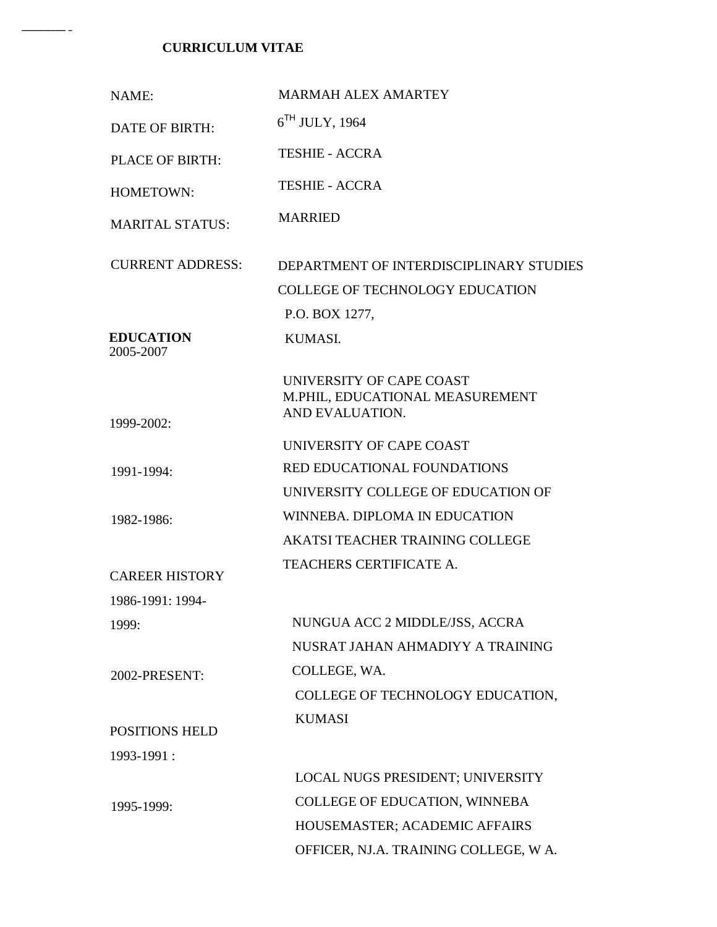## **CURRICULUM VITAE**

 $-$ 

| NAME:                         | <b>MARMAH ALEX AMARTEY</b>                                                     |
|-------------------------------|--------------------------------------------------------------------------------|
| <b>DATE OF BIRTH:</b>         | $6TH$ JULY, 1964                                                               |
| <b>PLACE OF BIRTH:</b>        | <b>TESHIE - ACCRA</b>                                                          |
| HOMETOWN:                     | <b>TESHIE - ACCRA</b>                                                          |
| <b>MARITAL STATUS:</b>        | <b>MARRIED</b>                                                                 |
| <b>CURRENT ADDRESS:</b>       | DEPARTMENT OF INTERDISCIPLINARY STUDIES                                        |
|                               | <b>COLLEGE OF TECHNOLOGY EDUCATION</b>                                         |
|                               | P.O. BOX 1277,                                                                 |
| <b>EDUCATION</b><br>2005-2007 | KUMASI.                                                                        |
| 1999-2002:                    | UNIVERSITY OF CAPE COAST<br>M.PHIL, EDUCATIONAL MEASUREMENT<br>AND EVALUATION. |
|                               | UNIVERSITY OF CAPE COAST                                                       |
| 1991-1994:                    | <b>RED EDUCATIONAL FOUNDATIONS</b>                                             |
|                               | UNIVERSITY COLLEGE OF EDUCATION OF                                             |
| 1982-1986:                    | WINNEBA. DIPLOMA IN EDUCATION                                                  |
|                               | <b>AKATSI TEACHER TRAINING COLLEGE</b>                                         |
| <b>CAREER HISTORY</b>         | <b>TEACHERS CERTIFICATE A.</b>                                                 |
| 1986-1991: 1994-              |                                                                                |
| 1999:                         | NUNGUA ACC 2 MIDDLE/JSS, ACCRA                                                 |
|                               | NUSRAT JAHAN AHMADIYY A TRAINING                                               |
| 2002-PRESENT:                 | COLLEGE, WA.                                                                   |
|                               | COLLEGE OF TECHNOLOGY EDUCATION,                                               |
| <b>POSITIONS HELD</b>         | <b>KUMASI</b>                                                                  |
| 1993-1991:                    |                                                                                |
|                               | LOCAL NUGS PRESIDENT; UNIVERSITY                                               |
| 1995-1999:                    | COLLEGE OF EDUCATION, WINNEBA                                                  |
|                               | HOUSEMASTER; ACADEMIC AFFAIRS                                                  |
|                               | OFFICER, NJ.A. TRAINING COLLEGE, W A.                                          |